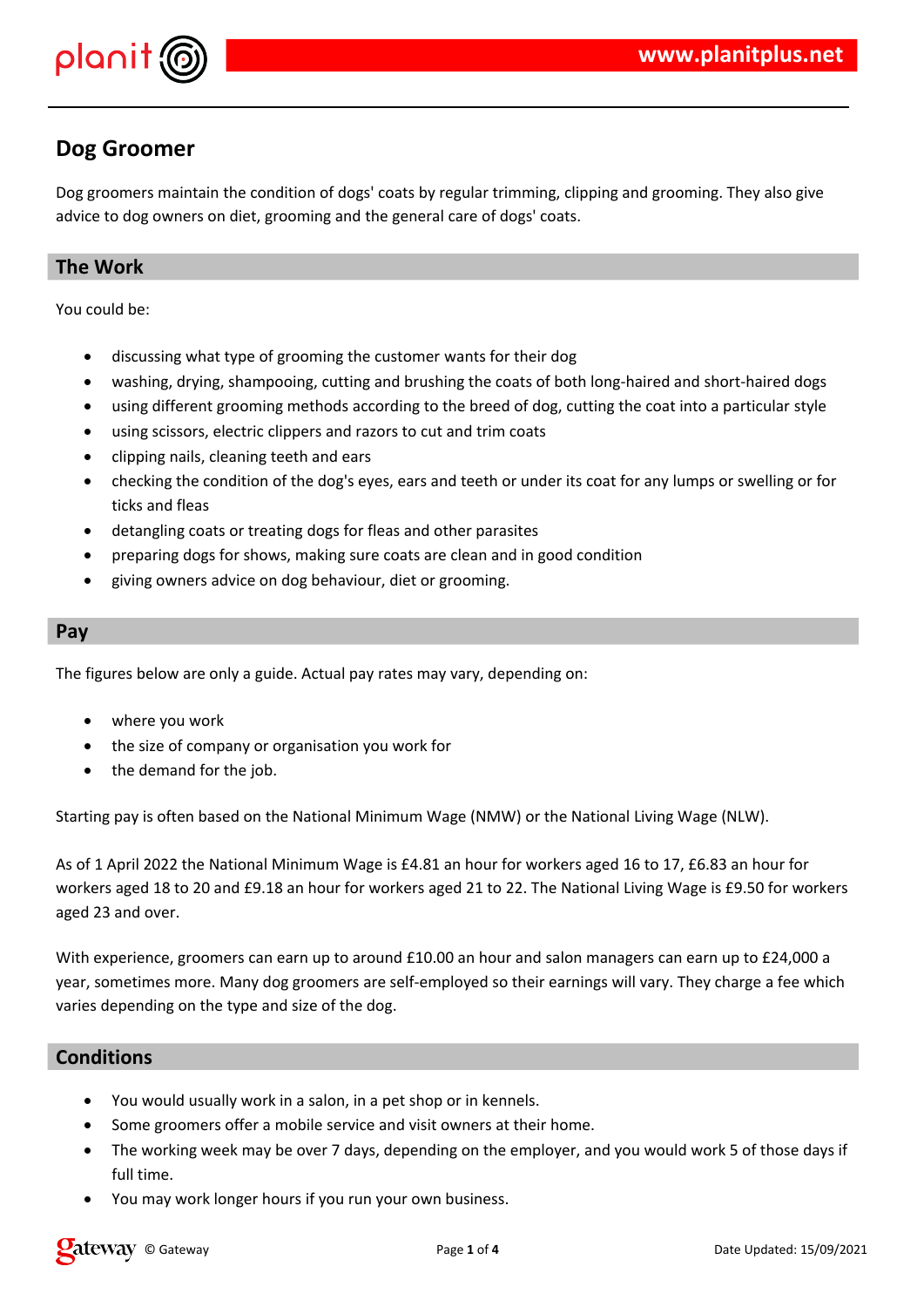

# **Dog Groomer**

Dog groomers maintain the condition of dogs' coats by regular trimming, clipping and grooming. They also give advice to dog owners on diet, grooming and the general care of dogs' coats.

# **The Work**

You could be:

- discussing what type of grooming the customer wants for their dog
- washing, drying, shampooing, cutting and brushing the coats of both long-haired and short-haired dogs
- using different grooming methods according to the breed of dog, cutting the coat into a particular style
- using scissors, electric clippers and razors to cut and trim coats
- clipping nails, cleaning teeth and ears
- checking the condition of the dog's eyes, ears and teeth or under its coat for any lumps or swelling or for ticks and fleas
- detangling coats or treating dogs for fleas and other parasites
- preparing dogs for shows, making sure coats are clean and in good condition
- giving owners advice on dog behaviour, diet or grooming.

#### **Pay**

The figures below are only a guide. Actual pay rates may vary, depending on:

- where you work
- the size of company or organisation you work for
- the demand for the job.

Starting pay is often based on the National Minimum Wage (NMW) or the National Living Wage (NLW).

As of 1 April 2022 the National Minimum Wage is £4.81 an hour for workers aged 16 to 17, £6.83 an hour for workers aged 18 to 20 and £9.18 an hour for workers aged 21 to 22. The National Living Wage is £9.50 for workers aged 23 and over.

With experience, groomers can earn up to around £10.00 an hour and salon managers can earn up to £24,000 a year, sometimes more. Many dog groomers are self-employed so their earnings will vary. They charge a fee which varies depending on the type and size of the dog.

## **Conditions**

- You would usually work in a salon, in a pet shop or in kennels.
- Some groomers offer a mobile service and visit owners at their home.
- The working week may be over 7 days, depending on the employer, and you would work 5 of those days if full time.
- You may work longer hours if you run your own business.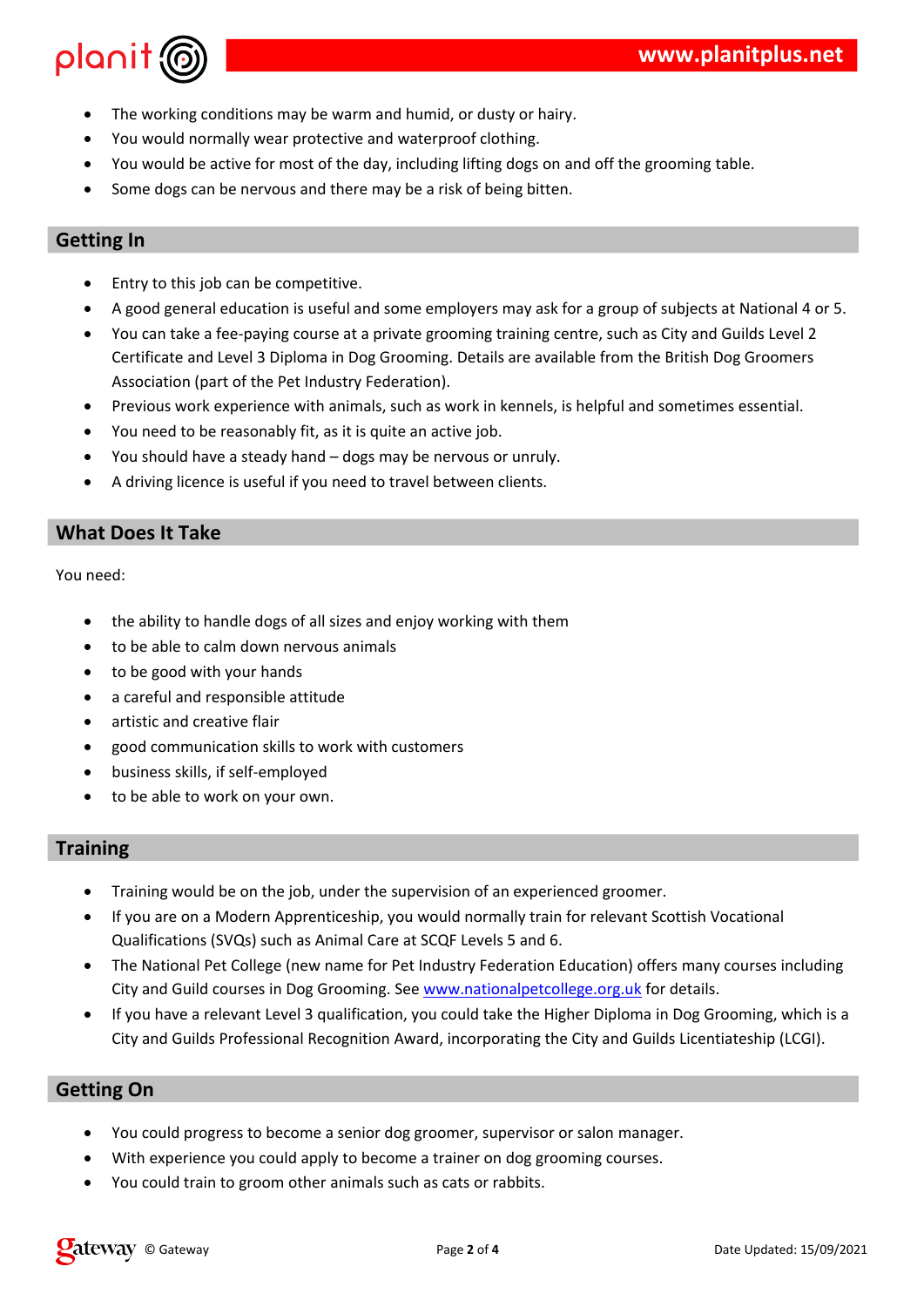| \$                    |   |              |   |   | $\mathbf{H}$ | # |  |       |  |
|-----------------------|---|--------------|---|---|--------------|---|--|-------|--|
| &                     |   | $\mathbf{H}$ |   | % |              | # |  |       |  |
| $\boldsymbol{\alpha}$ | Ţ | %            |   |   | $\mathbf{H}$ |   |  | $!$ # |  |
|                       |   |              | % |   |              |   |  |       |  |
|                       |   |              |   |   |              |   |  |       |  |
|                       |   |              |   |   |              |   |  |       |  |

|         |      |         | %#            |       |                           |            |
|---------|------|---------|---------------|-------|---------------------------|------------|
| $\star$ |      |         |               |       |                           |            |
| &       |      |         |               | $\%$  | ш                         | $! 2 \% !$ |
|         |      | 2 % ! 8 |               | #     | $%$ !<br>k                |            |
| *       |      | 0       | $\geq$<br>$=$ | 1#    |                           |            |
|         | %    | 9)      | $\mathbf{H}$  |       | $\mathbf{I}$ $\mathbf{I}$ | ! #        |
| &       |      |         | ?             | $% +$ | #                         |            |
| &       |      | %       | @             | $\%$  | $\frac{1}{2}$ #           |            |
| $\star$ | $\%$ |         |               | %     | #                         |            |

 $\big)$ 

 $\&$ 

| Ţ |                                                                                                           |   | Ţ |                   |       | $\frac{1}{2}$ |  |
|---|-----------------------------------------------------------------------------------------------------------|---|---|-------------------|-------|---------------|--|
|   | $\mathbf{I}$ $\mathbf{I}$                                                                                 |   |   |                   | $%$ ! |               |  |
|   |                                                                                                           |   |   |                   |       |               |  |
|   |                                                                                                           |   |   |                   |       |               |  |
|   |                                                                                                           | % |   |                   |       |               |  |
|   |                                                                                                           |   |   | ) $\overline{11}$ |       |               |  |
|   | $\left( \begin{array}{c} 1 \\ 1 \end{array} \right)$ $\left( \begin{array}{c} 1 \\ 1 \end{array} \right)$ |   |   | $\sim$ 1.1%       | I     |               |  |
|   |                                                                                                           |   |   |                   | #     |               |  |

|                                |        | $+$                      | π       | %                                     |   | 9  |                 |       | #             |  |
|--------------------------------|--------|--------------------------|---------|---------------------------------------|---|----|-----------------|-------|---------------|--|
|                                |        | $\star$                  |         | $\mathbf{I}$ $\mathbf{I}$             | Ħ |    | $\frac{1}{2}$ % |       |               |  |
| B                              |        | $0, AB$ $*$ ; !          |         | $, ; \mathbf{B} \times \mathcal{C}$ ! |   | 6# |                 |       |               |  |
| \$<br>$\overline{\phantom{a}}$ | ! ; !! | $\overline{\phantom{0}}$ |         |                                       | ↘ |    |                 |       |               |  |
|                                |        |                          | $, \#$  | #                                     |   | Ħ  | #               | $#$ ) | $\frac{1}{2}$ |  |
|                                | %      | 2! % ? 8!                |         | $\mathbf{H}$                          |   | C  |                 |       |               |  |
|                                |        | $\mathsf{I}$ D           | $\star$ | $\mathbf{H}$                          |   |    |                 | 2     |               |  |

the control of the control of the control of the control of the control of

|  | $8 \tcdot$ $\cdot$                                                                                                                                                                                                                                                                                                                                                                                         |  | $\frac{1}{2}$ % #                                                                                                                                                                                                                                                                                                                  |  |
|--|------------------------------------------------------------------------------------------------------------------------------------------------------------------------------------------------------------------------------------------------------------------------------------------------------------------------------------------------------------------------------------------------------------|--|------------------------------------------------------------------------------------------------------------------------------------------------------------------------------------------------------------------------------------------------------------------------------------------------------------------------------------|--|
|  | $\sqrt{9}$ and $\sqrt{11}$ and $\sqrt{11}$ and $\sqrt{11}$ and $\sqrt{11}$ and $\sqrt{11}$ and $\sqrt{11}$ and $\sqrt{11}$ and $\sqrt{11}$ and $\sqrt{11}$ and $\sqrt{11}$ and $\sqrt{11}$ and $\sqrt{11}$ and $\sqrt{11}$ and $\sqrt{11}$ and $\sqrt{11}$ and $\sqrt{11}$ and                                                                                                                             |  | $\overline{t}$ and $\overline{t}$ and $\overline{t}$ and $\overline{t}$ and $\overline{t}$ and $\overline{t}$ and $\overline{t}$ and $\overline{t}$ and $\overline{t}$ and $\overline{t}$ and $\overline{t}$ and $\overline{t}$ and $\overline{t}$ and $\overline{t}$ and $\overline{t}$ and $\overline{t}$ and $\overline{t}$ and |  |
|  | $8 \qquad \qquad$ $\qquad \qquad$ $\qquad \qquad$ $\qquad \qquad$ $\qquad \qquad$ $\qquad \qquad$ $\qquad \qquad$ $\qquad \qquad$ $\qquad \qquad$ $\qquad \qquad$ $\qquad \qquad$ $\qquad \qquad$ $\qquad \qquad$ $\qquad \qquad$ $\qquad \qquad$ $\qquad \qquad$ $\qquad \qquad$ $\qquad \qquad$ $\qquad \qquad$ $\qquad \qquad$ $\qquad \qquad$ $\qquad \qquad$ $\qquad \qquad$ $\qquad \qquad$ $\qquad$ |  |                                                                                                                                                                                                                                                                                                                                    |  |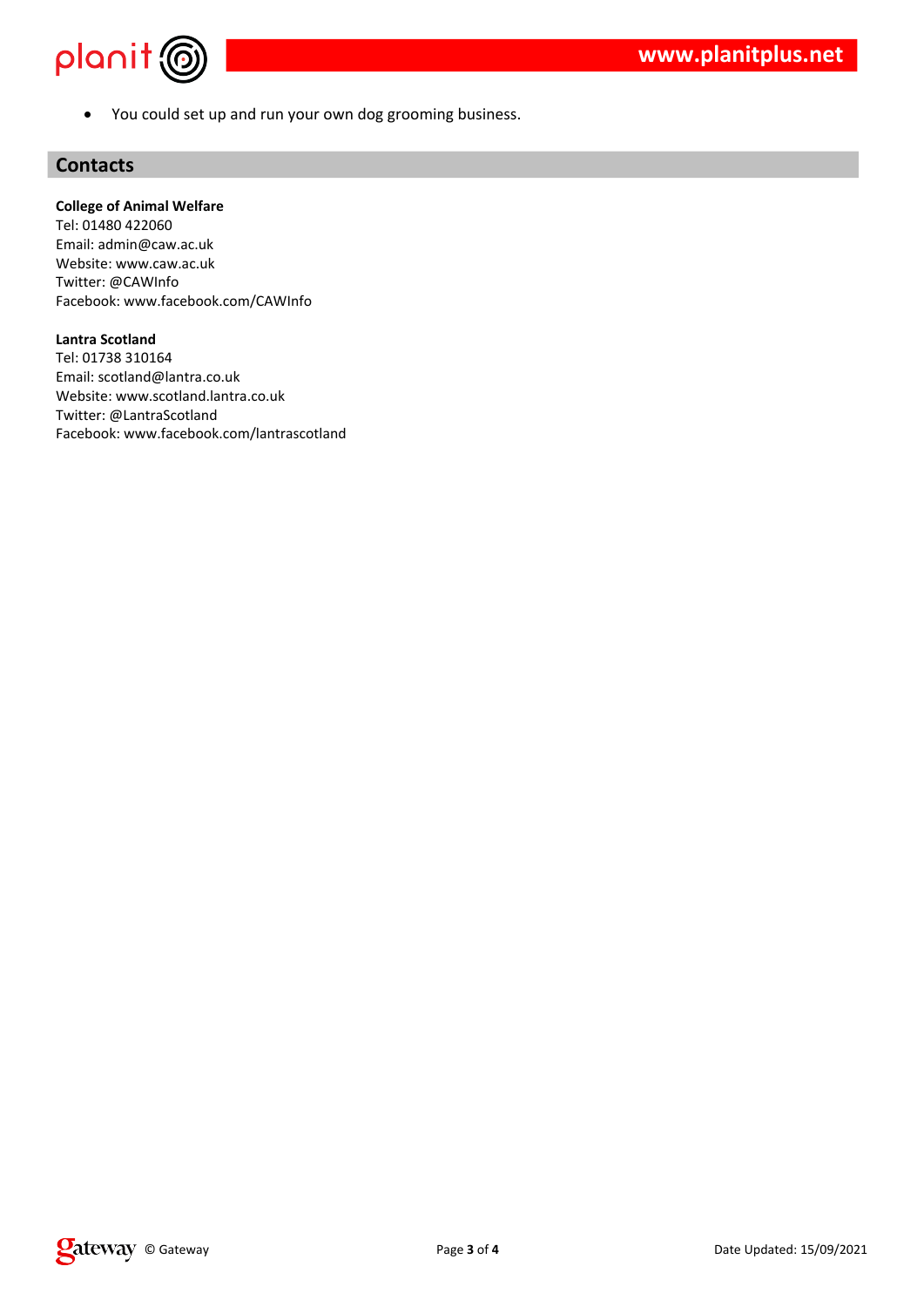

You could set up and run your own dog grooming business.

### **Contacts**

#### **College of Animal Welfare**

Tel: 01480 422060 Email: admin@caw.ac.uk Website: www.caw.ac.uk Twitter: @CAWInfo Facebook: www.facebook.com/CAWInfo

#### **Lantra Scotland**

Tel: 01738 310164 Email: scotland@lantra.co.uk Website: www.scotland.lantra.co.uk Twitter: @LantraScotland Facebook: www.facebook.com/lantrascotland